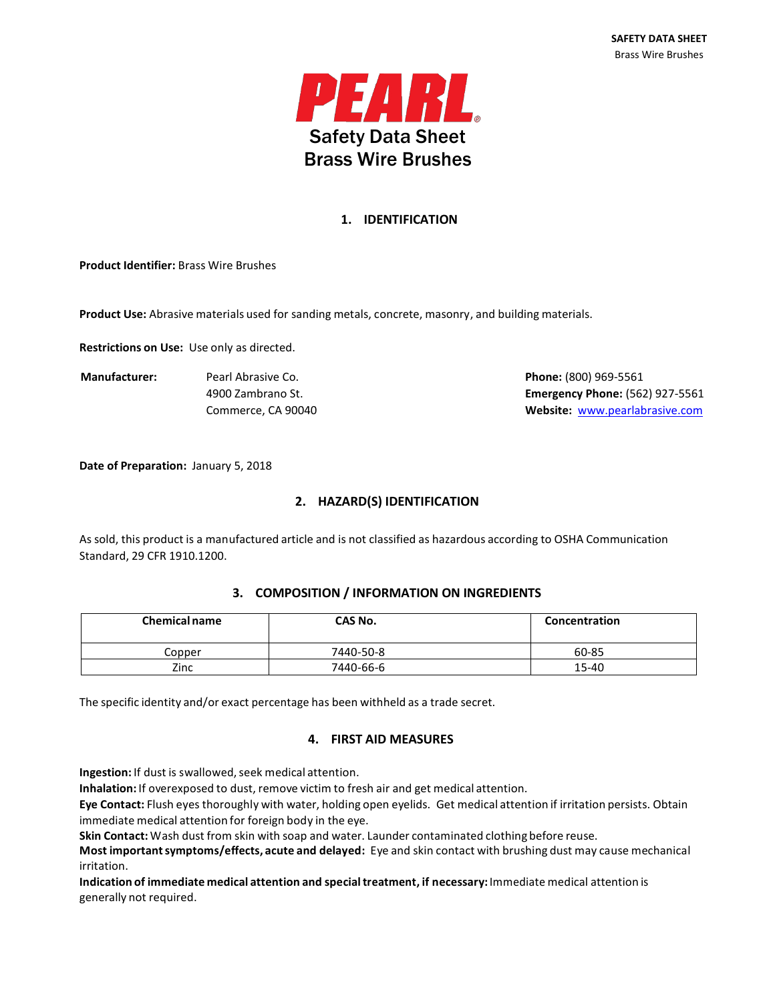

# **1. IDENTIFICATION**

**Product Identifier:** Brass Wire Brushes

**Product Use:** Abrasive materials used for sanding metals, concrete, masonry, and building materials.

**Restrictions on Use:** Use only as directed.

**Manufacturer:** Pearl Abrasive Co. **Phone:** (800) 969-5561

4900 Zambrano St. **Emergency Phone:** (562) 927-5561 Commerce, CA 90040 **Website:** [www.pearlabrasive.com](http://www.pearlabrasive.com/)

**Date of Preparation:** January 5, 2018

# **2. HAZARD(S) IDENTIFICATION**

As sold, this product is a manufactured article and is not classified as hazardous according to OSHA Communication Standard, 29 CFR 1910.1200.

## **3. COMPOSITION / INFORMATION ON INGREDIENTS**

| <b>Chemical name</b> | CAS No.   | Concentration |
|----------------------|-----------|---------------|
| Copper               | 7440-50-8 | 60-85         |
| Zinc                 | 7440-66-6 | 15-40         |

The specific identity and/or exact percentage has been withheld as a trade secret.

## **4. FIRST AID MEASURES**

Ingestion: If dust is swallowed, seek medical attention.

**Inhalation:** If overexposed to dust, remove victim to fresh air and get medical attention.

**Eye Contact:** Flush eyes thoroughly with water, holding open eyelids. Get medical attention if irritation persists. Obtain immediate medical attention for foreign body in the eye.

**Skin Contact:**Wash dust from skin with soap and water. Launder contaminated clothing before reuse.

**Most importantsymptoms/effects, acute and delayed:** Eye and skin contact with brushing dust may cause mechanical irritation.

**Indication of immediate medical attention and specialtreatment, if necessary:**Immediate medical attention is generally not required.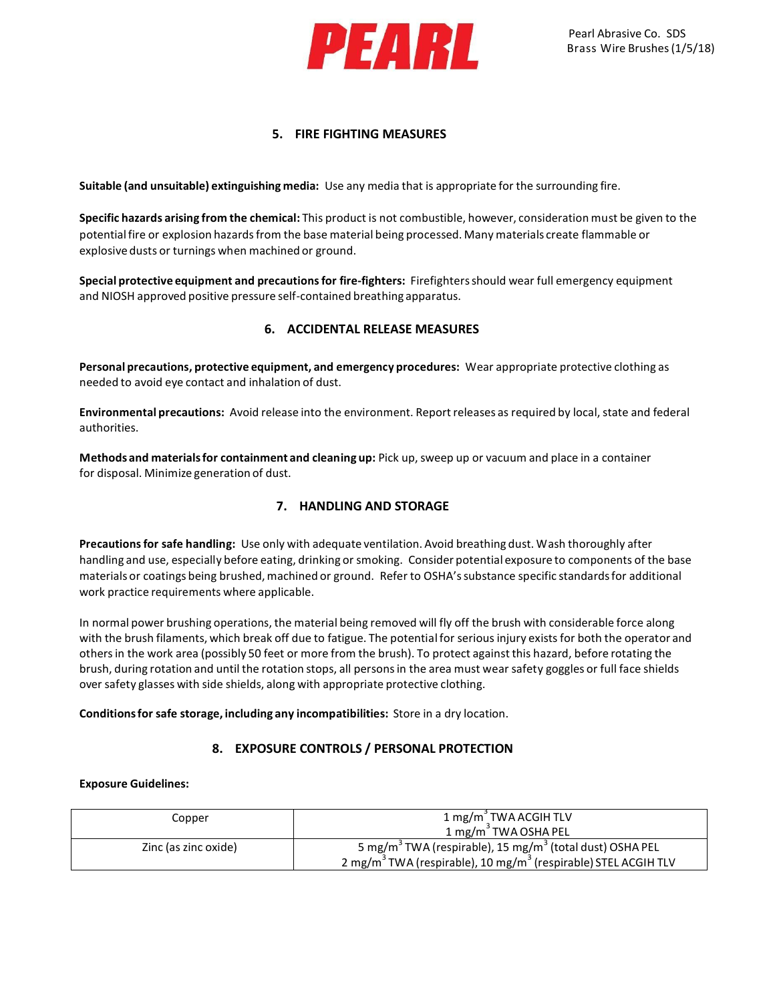

### **5. FIRE FIGHTING MEASURES**

**Suitable (and unsuitable) extinguishing media:** Use any media that is appropriate for the surrounding fire.

**Specific hazards arising from the chemical:** This product is not combustible, however, consideration must be given to the potential fire or explosion hazards from the base material being processed. Many materials create flammable or explosive dusts or turnings when machined or ground.

**Special protective equipment and precautionsfor fire-fighters:** Firefightersshould wear full emergency equipment and NIOSH approved positive pressure self-contained breathing apparatus.

### **6. ACCIDENTAL RELEASE MEASURES**

**Personal precautions, protective equipment, and emergency procedures:** Wear appropriate protective clothing as needed to avoid eye contact and inhalation of dust.

**Environmental precautions:** Avoid release into the environment. Reportreleases as required by local, state and federal authorities.

**Methods and materialsfor containment and cleaning up:** Pick up, sweep up or vacuum and place in a container for disposal. Minimize generation of dust.

### **7. HANDLING AND STORAGE**

**Precautionsfor safe handling:** Use only with adequate ventilation. Avoid breathing dust. Wash thoroughly after handling and use, especially before eating, drinking or smoking. Consider potential exposure to components of the base materials or coatings being brushed, machined or ground. Refer to OSHA's substance specific standards for additional work practice requirements where applicable.

In normal power brushing operations, the material being removed will fly off the brush with considerable force along with the brush filaments, which break off due to fatigue. The potentialfor seriousinjury existsfor both the operator and othersin the work area (possibly 50 feet or more from the brush). To protect against this hazard, before rotating the brush, during rotation and until the rotation stops, all personsin the area must wear safety goggles or full face shields over safety glasses with side shields, along with appropriate protective clothing.

**Conditionsfor safe storage, including any incompatibilities:** Store in a dry location.

### **8. EXPOSURE CONTROLS / PERSONAL PROTECTION**

#### **Exposure Guidelines:**

| Copper               | 1 mg/m <sup>3</sup> TWA ACGIH TLV<br>1 mg/m <sup>3</sup> TWA OSHA PEL                                                                                                      |
|----------------------|----------------------------------------------------------------------------------------------------------------------------------------------------------------------------|
| Zinc (as zinc oxide) | 5 mg/m <sup>3</sup> TWA (respirable), 15 mg/m <sup>3</sup> (total dust) OSHA PEL<br>2 mg/m <sup>3</sup> TWA (respirable), 10 mg/m <sup>3</sup> (respirable) STEL ACGIH TLV |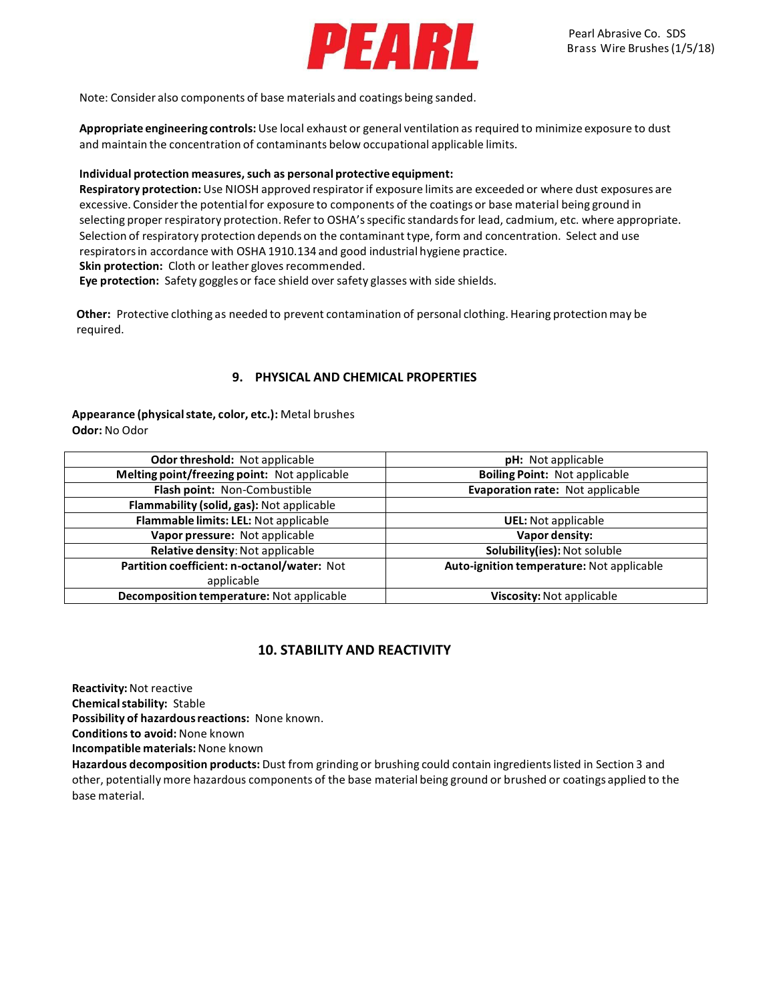

Note: Consider also components of base materials and coatings being sanded.

**Appropriate engineering controls:** Use local exhaust or general ventilation as required to minimize exposure to dust and maintain the concentration of contaminants below occupational applicable limits.

#### **Individual protection measures,such as personal protective equipment:**

**Respiratory protection:**Use NIOSH approved respiratorif exposure limits are exceeded or where dust exposures are excessive. Consider the potential for exposure to components of the coatings or base material being ground in selecting proper respiratory protection. Refer to OSHA'sspecific standardsfor lead, cadmium, etc. where appropriate. Selection of respiratory protection depends on the contaminant type, form and concentration. Select and use respiratorsin accordance with OSHA 1910.134 and good industrial hygiene practice. **Skin protection:** Cloth or leather gloves recommended.

**Eye protection:** Safety goggles or face shield oversafety glasses with side shields.

**Other:** Protective clothing as needed to prevent contamination of personal clothing. Hearing protectionmay be required.

## **9. PHYSICAL AND CHEMICAL PROPERTIES**

**Appearance (physicalstate, color, etc.):** Metal brushes **Odor:** No Odor

| Odor threshold: Not applicable               | <b>pH:</b> Not applicable                 |  |
|----------------------------------------------|-------------------------------------------|--|
| Melting point/freezing point: Not applicable | <b>Boiling Point: Not applicable</b>      |  |
| Flash point: Non-Combustible                 | Evaporation rate: Not applicable          |  |
| Flammability (solid, gas): Not applicable    |                                           |  |
| Flammable limits: LEL: Not applicable        | <b>UEL:</b> Not applicable                |  |
| Vapor pressure: Not applicable               | Vapor density:                            |  |
| Relative density: Not applicable             | Solubility(ies): Not soluble              |  |
| Partition coefficient: n-octanol/water: Not  | Auto-ignition temperature: Not applicable |  |
| applicable                                   |                                           |  |
| Decomposition temperature: Not applicable    | Viscosity: Not applicable                 |  |

## **10. STABILITY AND REACTIVITY**

**Reactivity:**Not reactive

**Chemicalstability:** Stable

**Possibility of hazardousreactions:** None known.

**Conditionsto avoid:** None known

**Incompatible materials:**None known

**Hazardous decomposition products:** Dust from grinding or brushing could contain ingredientslisted in Section 3 and other, potentially more hazardous components of the base material being ground or brushed or coatings applied to the base material.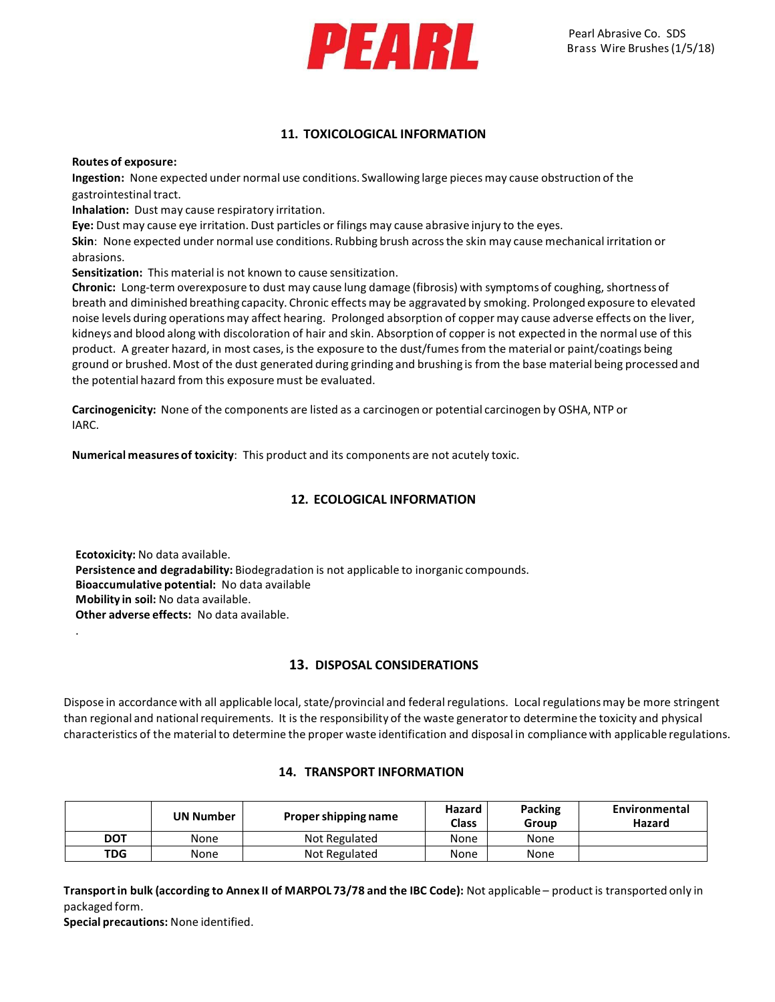

### **11. TOXICOLOGICAL INFORMATION**

**Routes of exposure:**

**Ingestion:** None expected under normal use conditions. Swallowing large pieces may cause obstruction of the gastrointestinal tract.

**Inhalation:** Dust may cause respiratory irritation.

**Eye:** Dust may cause eye irritation. Dust particles or filings may cause abrasive injury to the eyes.

**Skin**: None expected under normal use conditions. Rubbing brush acrossthe skin may cause mechanical irritation or abrasions.

**Sensitization:** This material is not known to cause sensitization.

**Chronic:** Long-term overexposure to dust may cause lung damage (fibrosis) with symptoms of coughing, shortness of breath and diminished breathing capacity. Chronic effects may be aggravated by smoking. Prolonged exposure to elevated noise levels during operationsmay affect hearing. Prolonged absorption of copper may cause adverse effects on the liver, kidneys and blood along with discoloration of hair and skin. Absorption of copper is not expected in the normal use of this product. A greater hazard, in most cases, is the exposure to the dust/fumes from the material or paint/coatings being ground or brushed. Most of the dust generated during grinding and brushing is from the base material being processed and the potential hazard from this exposure must be evaluated.

**Carcinogenicity:** None of the components are listed as a carcinogen or potential carcinogen by OSHA, NTP or IARC.

**Numerical measuresof toxicity**: This product and its components are not acutely toxic.

## **12. ECOLOGICAL INFORMATION**

**Ecotoxicity:** No data available. **Persistence and degradability:** Biodegradation is not applicable to inorganic compounds. **Bioaccumulative potential:** No data available **Mobility in soil:** No data available. **Other adverse effects:** No data available.

### **13. DISPOSAL CONSIDERATIONS**

Dispose in accordance with all applicable local, state/provincial and federal regulations. Local regulations may be more stringent than regional and nationalrequirements. It is the responsibility of the waste generatorto determine the toxicity and physical characteristics of the materialto determine the proper waste identification and disposal in compliancewith applicable regulations.

### **14. TRANSPORT INFORMATION**

|            | <b>UN Number</b> | Proper shipping name | Hazard<br><b>Class</b> | <b>Packing</b><br>Group | Environmental<br>Hazard |
|------------|------------------|----------------------|------------------------|-------------------------|-------------------------|
| <b>DOT</b> | None             | Not Regulated        | None                   | None                    |                         |
| TDG        | None             | Not Regulated        | None                   | None                    |                         |

**Transportin bulk (according to Annex II of MARPOL 73/78 and the IBC Code):** Not applicable – product is transported only in packaged form.

**Special precautions:** None identified.

.